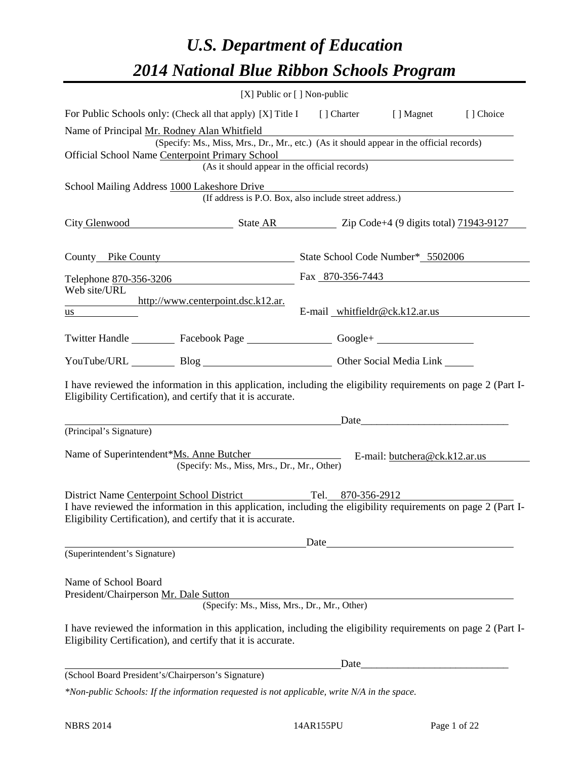# *U.S. Department of Education 2014 National Blue Ribbon Schools Program*

|                                                                                                                                                                                                                                                            | [X] Public or [] Non-public                                                                                                                                    |      |                                                                                                                                                                                                                               |  |
|------------------------------------------------------------------------------------------------------------------------------------------------------------------------------------------------------------------------------------------------------------|----------------------------------------------------------------------------------------------------------------------------------------------------------------|------|-------------------------------------------------------------------------------------------------------------------------------------------------------------------------------------------------------------------------------|--|
| For Public Schools only: (Check all that apply) [X] Title I [] Charter [] Magnet [] Choice                                                                                                                                                                 |                                                                                                                                                                |      |                                                                                                                                                                                                                               |  |
| Name of Principal Mr. Rodney Alan Whitfield<br>Official School Name Centerpoint Primary School                                                                                                                                                             | (Specify: Ms., Miss, Mrs., Dr., Mr., etc.) (As it should appear in the official records)<br>nt Primary School<br>(As it should appear in the official records) |      |                                                                                                                                                                                                                               |  |
| School Mailing Address 1000 Lakeshore Drive                                                                                                                                                                                                                | (If address is P.O. Box, also include street address.)                                                                                                         |      |                                                                                                                                                                                                                               |  |
|                                                                                                                                                                                                                                                            |                                                                                                                                                                |      |                                                                                                                                                                                                                               |  |
|                                                                                                                                                                                                                                                            |                                                                                                                                                                |      |                                                                                                                                                                                                                               |  |
| Telephone 870-356-3206                                                                                                                                                                                                                                     |                                                                                                                                                                |      | Fax 870-356-7443                                                                                                                                                                                                              |  |
| Web site/URL<br>http://www.centerpoint.dsc.k12.ar.<br>$\frac{us}{s}$                                                                                                                                                                                       |                                                                                                                                                                |      | E-mail whitfieldr@ck.k12.ar.us                                                                                                                                                                                                |  |
| Twitter Handle ___________ Facebook Page ___________________ Google+ ____________                                                                                                                                                                          |                                                                                                                                                                |      |                                                                                                                                                                                                                               |  |
| YouTube/URL Blog Blog Discount Other Social Media Link                                                                                                                                                                                                     |                                                                                                                                                                |      |                                                                                                                                                                                                                               |  |
| I have reviewed the information in this application, including the eligibility requirements on page 2 (Part I-<br>Eligibility Certification), and certify that it is accurate.                                                                             |                                                                                                                                                                |      |                                                                                                                                                                                                                               |  |
| (Principal's Signature)                                                                                                                                                                                                                                    |                                                                                                                                                                |      |                                                                                                                                                                                                                               |  |
| Name of Superintendent*Ms. Anne Butcher E-mail: butchera@ck.k12.ar.us                                                                                                                                                                                      | (Specify: Ms., Miss, Mrs., Dr., Mr., Other)                                                                                                                    |      |                                                                                                                                                                                                                               |  |
| District Name Centerpoint School District Tel. 870-356-2912<br>I have reviewed the information in this application, including the eligibility requirements on page $\overline{2}$ (Part I-<br>Eligibility Certification), and certify that it is accurate. |                                                                                                                                                                |      |                                                                                                                                                                                                                               |  |
| (Superintendent's Signature)                                                                                                                                                                                                                               |                                                                                                                                                                | Date | <u> 1980 - Jan Stein Stein Stein Stein Stein Stein Stein Stein Stein Stein Stein Stein Stein Stein Stein Stein S</u>                                                                                                          |  |
| Name of School Board<br>President/Chairperson Mr. Dale Sutton                                                                                                                                                                                              | (Specify: Ms., Miss, Mrs., Dr., Mr., Other)                                                                                                                    |      |                                                                                                                                                                                                                               |  |
| I have reviewed the information in this application, including the eligibility requirements on page 2 (Part I-<br>Eligibility Certification), and certify that it is accurate.                                                                             |                                                                                                                                                                |      |                                                                                                                                                                                                                               |  |
|                                                                                                                                                                                                                                                            |                                                                                                                                                                |      | Date experience and the set of the set of the set of the set of the set of the set of the set of the set of the set of the set of the set of the set of the set of the set of the set of the set of the set of the set of the |  |
| (School Board President's/Chairperson's Signature)                                                                                                                                                                                                         |                                                                                                                                                                |      |                                                                                                                                                                                                                               |  |
| *Non-public Schools: If the information requested is not applicable, write N/A in the space.                                                                                                                                                               |                                                                                                                                                                |      |                                                                                                                                                                                                                               |  |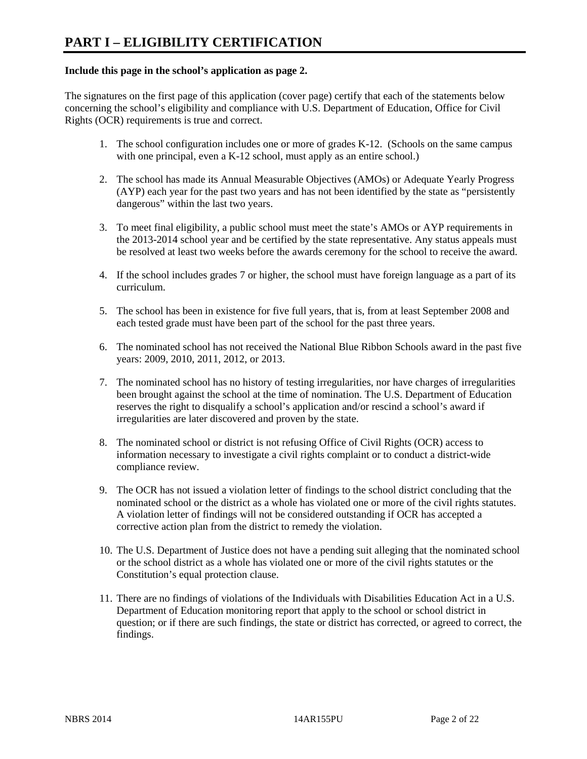## **Include this page in the school's application as page 2.**

The signatures on the first page of this application (cover page) certify that each of the statements below concerning the school's eligibility and compliance with U.S. Department of Education, Office for Civil Rights (OCR) requirements is true and correct.

- 1. The school configuration includes one or more of grades K-12. (Schools on the same campus with one principal, even a K-12 school, must apply as an entire school.)
- 2. The school has made its Annual Measurable Objectives (AMOs) or Adequate Yearly Progress (AYP) each year for the past two years and has not been identified by the state as "persistently dangerous" within the last two years.
- 3. To meet final eligibility, a public school must meet the state's AMOs or AYP requirements in the 2013-2014 school year and be certified by the state representative. Any status appeals must be resolved at least two weeks before the awards ceremony for the school to receive the award.
- 4. If the school includes grades 7 or higher, the school must have foreign language as a part of its curriculum.
- 5. The school has been in existence for five full years, that is, from at least September 2008 and each tested grade must have been part of the school for the past three years.
- 6. The nominated school has not received the National Blue Ribbon Schools award in the past five years: 2009, 2010, 2011, 2012, or 2013.
- 7. The nominated school has no history of testing irregularities, nor have charges of irregularities been brought against the school at the time of nomination. The U.S. Department of Education reserves the right to disqualify a school's application and/or rescind a school's award if irregularities are later discovered and proven by the state.
- 8. The nominated school or district is not refusing Office of Civil Rights (OCR) access to information necessary to investigate a civil rights complaint or to conduct a district-wide compliance review.
- 9. The OCR has not issued a violation letter of findings to the school district concluding that the nominated school or the district as a whole has violated one or more of the civil rights statutes. A violation letter of findings will not be considered outstanding if OCR has accepted a corrective action plan from the district to remedy the violation.
- 10. The U.S. Department of Justice does not have a pending suit alleging that the nominated school or the school district as a whole has violated one or more of the civil rights statutes or the Constitution's equal protection clause.
- 11. There are no findings of violations of the Individuals with Disabilities Education Act in a U.S. Department of Education monitoring report that apply to the school or school district in question; or if there are such findings, the state or district has corrected, or agreed to correct, the findings.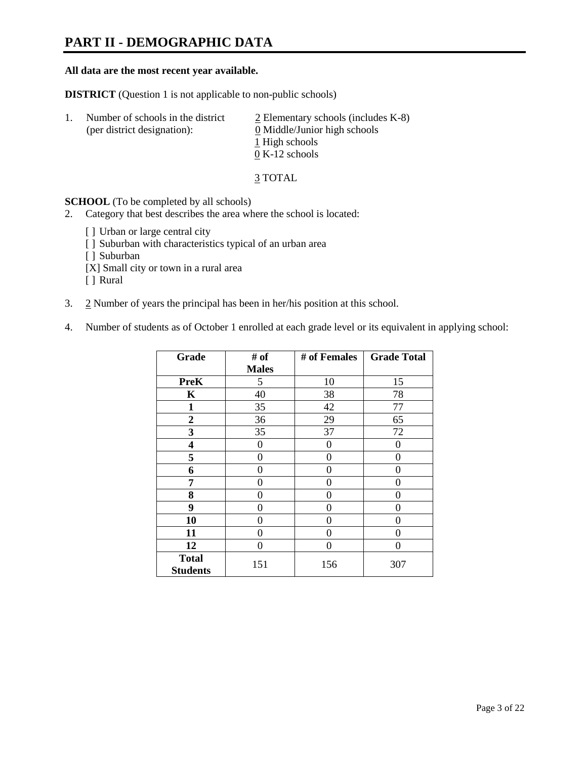# **PART II - DEMOGRAPHIC DATA**

#### **All data are the most recent year available.**

**DISTRICT** (Question 1 is not applicable to non-public schools)

| -1. | Number of schools in the district<br>(per district designation): | $\geq$ Elementary schools (includes K-8)<br>0 Middle/Junior high schools<br>1 High schools<br>$0 K-12$ schools |
|-----|------------------------------------------------------------------|----------------------------------------------------------------------------------------------------------------|
|     |                                                                  |                                                                                                                |

3 TOTAL

**SCHOOL** (To be completed by all schools)

- 2. Category that best describes the area where the school is located:
	- [] Urban or large central city
	- [ ] Suburban with characteristics typical of an urban area
	- [ ] Suburban
	- [X] Small city or town in a rural area
	- [ ] Rural
- 3. 2 Number of years the principal has been in her/his position at this school.
- 4. Number of students as of October 1 enrolled at each grade level or its equivalent in applying school:

| Grade                           | # of         | # of Females | <b>Grade Total</b> |
|---------------------------------|--------------|--------------|--------------------|
|                                 | <b>Males</b> |              |                    |
| <b>PreK</b>                     | 5            | 10           | 15                 |
| K                               | 40           | 38           | 78                 |
| $\mathbf{1}$                    | 35           | 42           | 77                 |
| $\boldsymbol{2}$                | 36           | 29           | 65                 |
| 3                               | 35           | 37           | 72                 |
| 4                               | 0            | 0            | $\theta$           |
| 5                               | 0            | $\Omega$     | 0                  |
| 6                               | 0            | 0            | 0                  |
| 7                               | 0            | 0            | 0                  |
| 8                               | 0            | 0            | 0                  |
| 9                               | 0            | 0            | 0                  |
| 10                              | 0            | 0            | 0                  |
| 11                              | 0            | 0            | 0                  |
| 12                              | 0            | $\Omega$     | 0                  |
| <b>Total</b><br><b>Students</b> | 151          | 156          | 307                |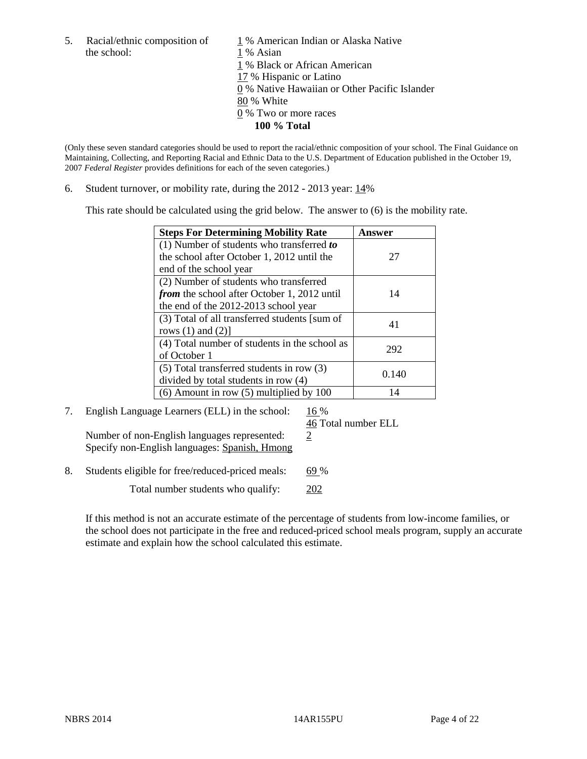the school: 1 % Asian

5. Racial/ethnic composition of  $1\%$  American Indian or Alaska Native 1 % Black or African American 17 % Hispanic or Latino 0 % Native Hawaiian or Other Pacific Islander 80 % White 0 % Two or more races **100 % Total** 

(Only these seven standard categories should be used to report the racial/ethnic composition of your school. The Final Guidance on Maintaining, Collecting, and Reporting Racial and Ethnic Data to the U.S. Department of Education published in the October 19, 2007 *Federal Register* provides definitions for each of the seven categories.)

6. Student turnover, or mobility rate, during the 2012 - 2013 year: 14%

This rate should be calculated using the grid below. The answer to (6) is the mobility rate.

| <b>Steps For Determining Mobility Rate</b>         | Answer |
|----------------------------------------------------|--------|
| (1) Number of students who transferred to          |        |
| the school after October 1, 2012 until the         | 27     |
| end of the school year                             |        |
| (2) Number of students who transferred             |        |
| <i>from</i> the school after October 1, 2012 until | 14     |
| the end of the 2012-2013 school year               |        |
| (3) Total of all transferred students [sum of      | 41     |
| rows $(1)$ and $(2)$ ]                             |        |
| (4) Total number of students in the school as      | 292    |
| of October 1                                       |        |
| $(5)$ Total transferred students in row $(3)$      | 0.140  |
| divided by total students in row (4)               |        |
| $(6)$ Amount in row $(5)$ multiplied by 100        | 14     |

7. English Language Learners (ELL) in the school:  $16\%$ 

Number of non-English languages represented:  $2$ Specify non-English languages: Spanish, Hmong

46 Total number ELL

8. Students eligible for free/reduced-priced meals: 69 %

Total number students who qualify: 202

If this method is not an accurate estimate of the percentage of students from low-income families, or the school does not participate in the free and reduced-priced school meals program, supply an accurate estimate and explain how the school calculated this estimate.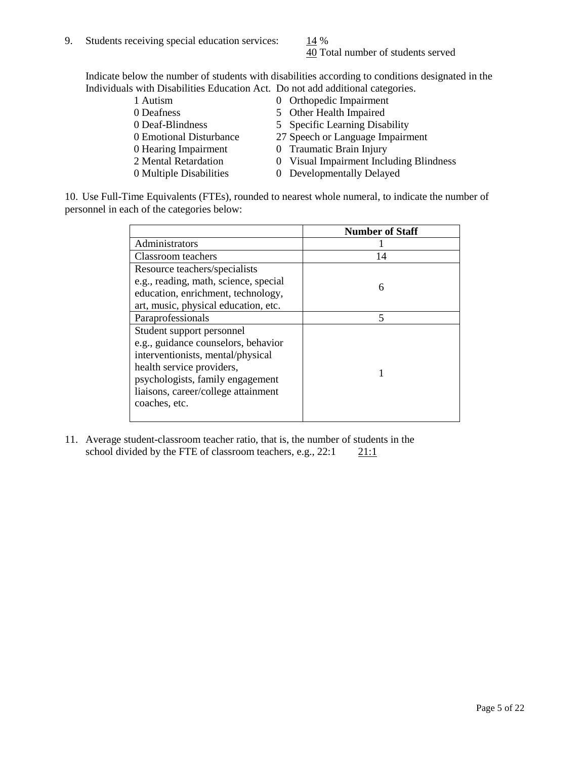40 Total number of students served

Indicate below the number of students with disabilities according to conditions designated in the Individuals with Disabilities Education Act. Do not add additional categories.

| 1 Autism                | 0 Orthopedic Impairment                 |
|-------------------------|-----------------------------------------|
| 0 Deafness              | 5 Other Health Impaired                 |
| 0 Deaf-Blindness        | 5 Specific Learning Disability          |
| 0 Emotional Disturbance | 27 Speech or Language Impairment        |
| 0 Hearing Impairment    | 0 Traumatic Brain Injury                |
| 2 Mental Retardation    | 0 Visual Impairment Including Blindness |
| 0 Multiple Disabilities | 0 Developmentally Delayed               |
|                         |                                         |

10. Use Full-Time Equivalents (FTEs), rounded to nearest whole numeral, to indicate the number of personnel in each of the categories below:

|                                       | <b>Number of Staff</b> |
|---------------------------------------|------------------------|
| Administrators                        |                        |
| <b>Classroom</b> teachers             | 14                     |
| Resource teachers/specialists         |                        |
| e.g., reading, math, science, special | 6                      |
| education, enrichment, technology,    |                        |
| art, music, physical education, etc.  |                        |
| Paraprofessionals                     | 5                      |
| Student support personnel             |                        |
| e.g., guidance counselors, behavior   |                        |
| interventionists, mental/physical     |                        |
| health service providers,             |                        |
| psychologists, family engagement      |                        |
| liaisons, career/college attainment   |                        |
| coaches, etc.                         |                        |
|                                       |                        |

11. Average student-classroom teacher ratio, that is, the number of students in the school divided by the FTE of classroom teachers, e.g.,  $22:1$  21:1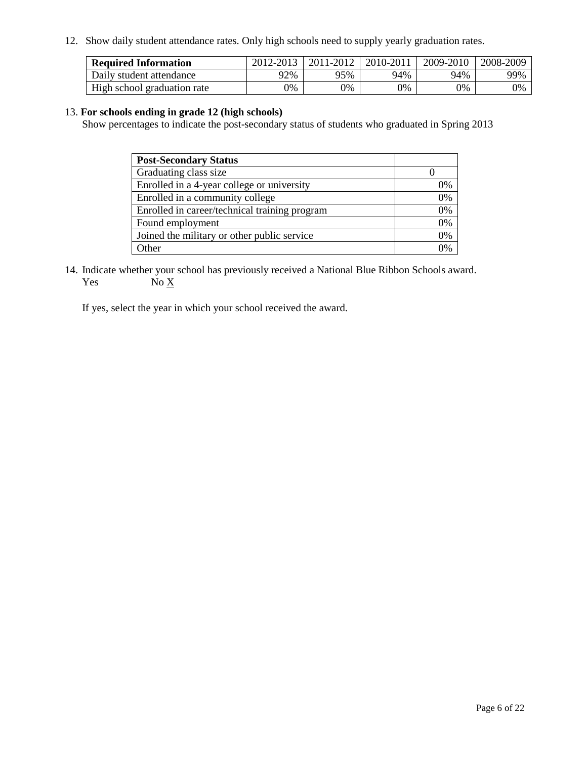12. Show daily student attendance rates. Only high schools need to supply yearly graduation rates.

| <b>Required Information</b> | 2012-2013 | 2011-2012 | 2010-2011 | 2009-2010 | 2008-2009 |
|-----------------------------|-----------|-----------|-----------|-----------|-----------|
| Daily student attendance    | 72%       | 95%       | 94%       | 94%       | 99%       |
| High school graduation rate | 0%        | 9%        | 0%        | 0%        | 0%        |

### 13. **For schools ending in grade 12 (high schools)**

Show percentages to indicate the post-secondary status of students who graduated in Spring 2013

| <b>Post-Secondary Status</b>                  |    |
|-----------------------------------------------|----|
| Graduating class size                         |    |
| Enrolled in a 4-year college or university    | 0% |
| Enrolled in a community college               | 0% |
| Enrolled in career/technical training program | 0% |
| Found employment                              | 0% |
| Joined the military or other public service   | 0% |
| <b>Other</b>                                  | 2% |

14. Indicate whether your school has previously received a National Blue Ribbon Schools award. Yes  $No \underline{X}$ 

If yes, select the year in which your school received the award.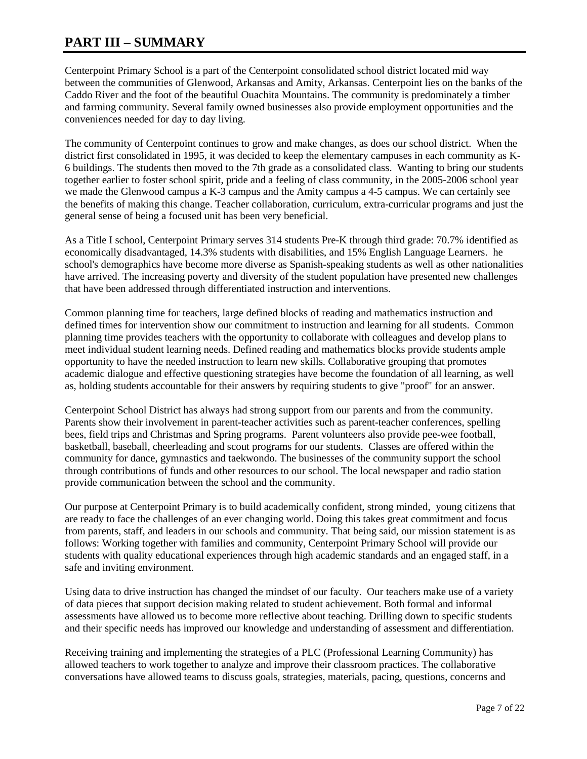# **PART III – SUMMARY**

Centerpoint Primary School is a part of the Centerpoint consolidated school district located mid way between the communities of Glenwood, Arkansas and Amity, Arkansas. Centerpoint lies on the banks of the Caddo River and the foot of the beautiful Ouachita Mountains. The community is predominately a timber and farming community. Several family owned businesses also provide employment opportunities and the conveniences needed for day to day living.

The community of Centerpoint continues to grow and make changes, as does our school district. When the district first consolidated in 1995, it was decided to keep the elementary campuses in each community as K-6 buildings. The students then moved to the 7th grade as a consolidated class. Wanting to bring our students together earlier to foster school spirit, pride and a feeling of class community, in the 2005-2006 school year we made the Glenwood campus a K-3 campus and the Amity campus a 4-5 campus. We can certainly see the benefits of making this change. Teacher collaboration, curriculum, extra-curricular programs and just the general sense of being a focused unit has been very beneficial.

As a Title I school, Centerpoint Primary serves 314 students Pre-K through third grade: 70.7% identified as economically disadvantaged, 14.3% students with disabilities, and 15% English Language Learners. he school's demographics have become more diverse as Spanish-speaking students as well as other nationalities have arrived. The increasing poverty and diversity of the student population have presented new challenges that have been addressed through differentiated instruction and interventions.

Common planning time for teachers, large defined blocks of reading and mathematics instruction and defined times for intervention show our commitment to instruction and learning for all students. Common planning time provides teachers with the opportunity to collaborate with colleagues and develop plans to meet individual student learning needs. Defined reading and mathematics blocks provide students ample opportunity to have the needed instruction to learn new skills. Collaborative grouping that promotes academic dialogue and effective questioning strategies have become the foundation of all learning, as well as, holding students accountable for their answers by requiring students to give "proof" for an answer.

Centerpoint School District has always had strong support from our parents and from the community. Parents show their involvement in parent-teacher activities such as parent-teacher conferences, spelling bees, field trips and Christmas and Spring programs. Parent volunteers also provide pee-wee football, basketball, baseball, cheerleading and scout programs for our students. Classes are offered within the community for dance, gymnastics and taekwondo. The businesses of the community support the school through contributions of funds and other resources to our school. The local newspaper and radio station provide communication between the school and the community.

Our purpose at Centerpoint Primary is to build academically confident, strong minded, young citizens that are ready to face the challenges of an ever changing world. Doing this takes great commitment and focus from parents, staff, and leaders in our schools and community. That being said, our mission statement is as follows: Working together with families and community, Centerpoint Primary School will provide our students with quality educational experiences through high academic standards and an engaged staff, in a safe and inviting environment.

Using data to drive instruction has changed the mindset of our faculty. Our teachers make use of a variety of data pieces that support decision making related to student achievement. Both formal and informal assessments have allowed us to become more reflective about teaching. Drilling down to specific students and their specific needs has improved our knowledge and understanding of assessment and differentiation.

Receiving training and implementing the strategies of a PLC (Professional Learning Community) has allowed teachers to work together to analyze and improve their classroom practices. The collaborative conversations have allowed teams to discuss goals, strategies, materials, pacing, questions, concerns and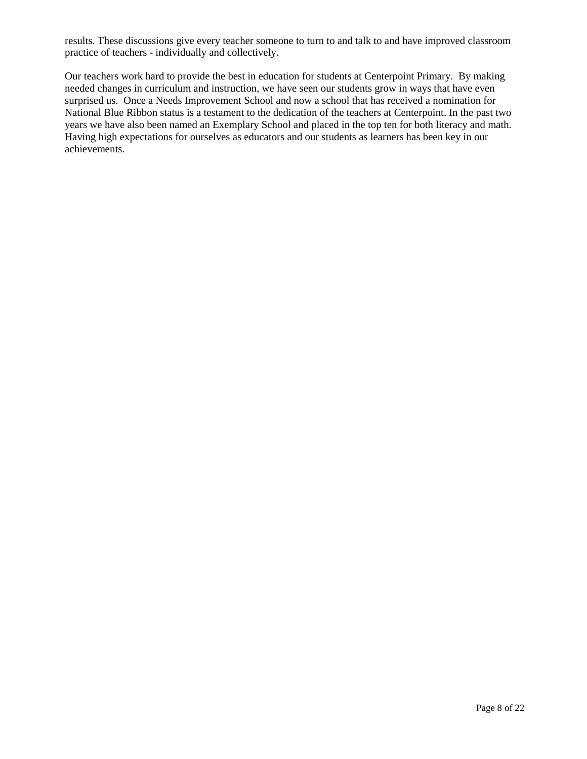results. These discussions give every teacher someone to turn to and talk to and have improved classroom practice of teachers - individually and collectively.

Our teachers work hard to provide the best in education for students at Centerpoint Primary. By making needed changes in curriculum and instruction, we have seen our students grow in ways that have even surprised us. Once a Needs Improvement School and now a school that has received a nomination for National Blue Ribbon status is a testament to the dedication of the teachers at Centerpoint. In the past two years we have also been named an Exemplary School and placed in the top ten for both literacy and math. Having high expectations for ourselves as educators and our students as learners has been key in our achievements.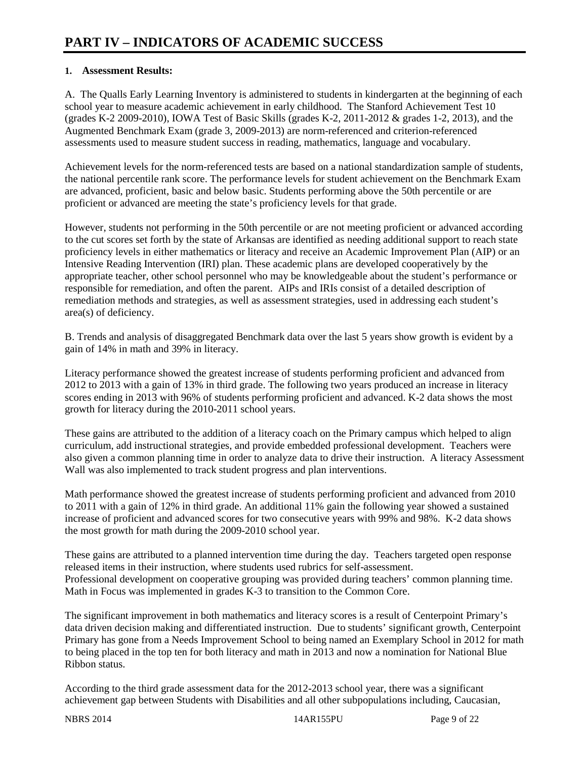# **1. Assessment Results:**

A. The Qualls Early Learning Inventory is administered to students in kindergarten at the beginning of each school year to measure academic achievement in early childhood. The Stanford Achievement Test 10 (grades K-2 2009-2010), IOWA Test of Basic Skills (grades K-2, 2011-2012 & grades 1-2, 2013), and the Augmented Benchmark Exam (grade 3, 2009-2013) are norm-referenced and criterion-referenced assessments used to measure student success in reading, mathematics, language and vocabulary.

Achievement levels for the norm-referenced tests are based on a national standardization sample of students, the national percentile rank score. The performance levels for student achievement on the Benchmark Exam are advanced, proficient, basic and below basic. Students performing above the 50th percentile or are proficient or advanced are meeting the state's proficiency levels for that grade.

However, students not performing in the 50th percentile or are not meeting proficient or advanced according to the cut scores set forth by the state of Arkansas are identified as needing additional support to reach state proficiency levels in either mathematics or literacy and receive an Academic Improvement Plan (AIP) or an Intensive Reading Intervention (IRI) plan. These academic plans are developed cooperatively by the appropriate teacher, other school personnel who may be knowledgeable about the student's performance or responsible for remediation, and often the parent. AIPs and IRIs consist of a detailed description of remediation methods and strategies, as well as assessment strategies, used in addressing each student's area(s) of deficiency.

B. Trends and analysis of disaggregated Benchmark data over the last 5 years show growth is evident by a gain of 14% in math and 39% in literacy.

Literacy performance showed the greatest increase of students performing proficient and advanced from 2012 to 2013 with a gain of 13% in third grade. The following two years produced an increase in literacy scores ending in 2013 with 96% of students performing proficient and advanced. K-2 data shows the most growth for literacy during the 2010-2011 school years.

These gains are attributed to the addition of a literacy coach on the Primary campus which helped to align curriculum, add instructional strategies, and provide embedded professional development. Teachers were also given a common planning time in order to analyze data to drive their instruction. A literacy Assessment Wall was also implemented to track student progress and plan interventions.

Math performance showed the greatest increase of students performing proficient and advanced from 2010 to 2011 with a gain of 12% in third grade. An additional 11% gain the following year showed a sustained increase of proficient and advanced scores for two consecutive years with 99% and 98%. K-2 data shows the most growth for math during the 2009-2010 school year.

These gains are attributed to a planned intervention time during the day. Teachers targeted open response released items in their instruction, where students used rubrics for self-assessment. Professional development on cooperative grouping was provided during teachers' common planning time. Math in Focus was implemented in grades K-3 to transition to the Common Core.

The significant improvement in both mathematics and literacy scores is a result of Centerpoint Primary's data driven decision making and differentiated instruction. Due to students' significant growth, Centerpoint Primary has gone from a Needs Improvement School to being named an Exemplary School in 2012 for math to being placed in the top ten for both literacy and math in 2013 and now a nomination for National Blue Ribbon status.

According to the third grade assessment data for the 2012-2013 school year, there was a significant achievement gap between Students with Disabilities and all other subpopulations including, Caucasian,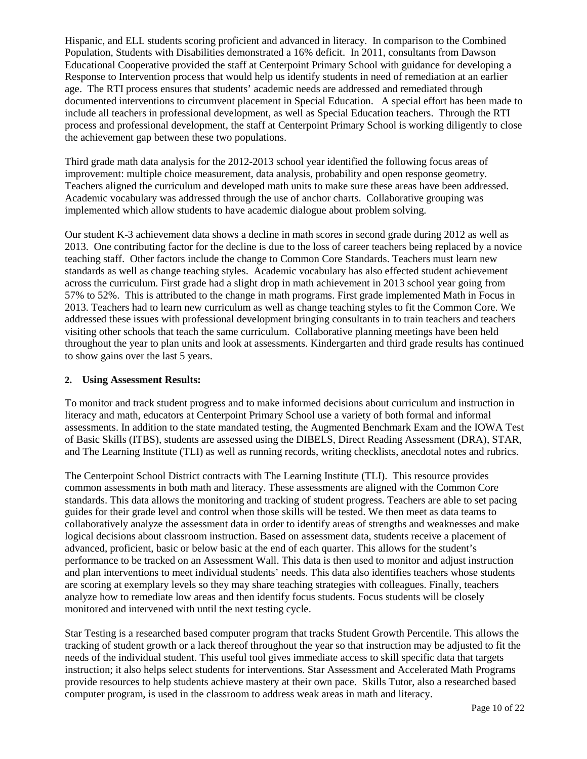Hispanic, and ELL students scoring proficient and advanced in literacy. In comparison to the Combined Population, Students with Disabilities demonstrated a 16% deficit. In 2011, consultants from Dawson Educational Cooperative provided the staff at Centerpoint Primary School with guidance for developing a Response to Intervention process that would help us identify students in need of remediation at an earlier age. The RTI process ensures that students' academic needs are addressed and remediated through documented interventions to circumvent placement in Special Education. A special effort has been made to include all teachers in professional development, as well as Special Education teachers. Through the RTI process and professional development, the staff at Centerpoint Primary School is working diligently to close the achievement gap between these two populations.

Third grade math data analysis for the 2012-2013 school year identified the following focus areas of improvement: multiple choice measurement, data analysis, probability and open response geometry. Teachers aligned the curriculum and developed math units to make sure these areas have been addressed. Academic vocabulary was addressed through the use of anchor charts. Collaborative grouping was implemented which allow students to have academic dialogue about problem solving.

Our student K-3 achievement data shows a decline in math scores in second grade during 2012 as well as 2013. One contributing factor for the decline is due to the loss of career teachers being replaced by a novice teaching staff. Other factors include the change to Common Core Standards. Teachers must learn new standards as well as change teaching styles. Academic vocabulary has also effected student achievement across the curriculum. First grade had a slight drop in math achievement in 2013 school year going from 57% to 52%. This is attributed to the change in math programs. First grade implemented Math in Focus in 2013. Teachers had to learn new curriculum as well as change teaching styles to fit the Common Core. We addressed these issues with professional development bringing consultants in to train teachers and teachers visiting other schools that teach the same curriculum. Collaborative planning meetings have been held throughout the year to plan units and look at assessments. Kindergarten and third grade results has continued to show gains over the last 5 years.

## **2. Using Assessment Results:**

To monitor and track student progress and to make informed decisions about curriculum and instruction in literacy and math, educators at Centerpoint Primary School use a variety of both formal and informal assessments. In addition to the state mandated testing, the Augmented Benchmark Exam and the IOWA Test of Basic Skills (ITBS), students are assessed using the DIBELS, Direct Reading Assessment (DRA), STAR, and The Learning Institute (TLI) as well as running records, writing checklists, anecdotal notes and rubrics.

The Centerpoint School District contracts with The Learning Institute (TLI). This resource provides common assessments in both math and literacy. These assessments are aligned with the Common Core standards. This data allows the monitoring and tracking of student progress. Teachers are able to set pacing guides for their grade level and control when those skills will be tested. We then meet as data teams to collaboratively analyze the assessment data in order to identify areas of strengths and weaknesses and make logical decisions about classroom instruction. Based on assessment data, students receive a placement of advanced, proficient, basic or below basic at the end of each quarter. This allows for the student's performance to be tracked on an Assessment Wall. This data is then used to monitor and adjust instruction and plan interventions to meet individual students' needs. This data also identifies teachers whose students are scoring at exemplary levels so they may share teaching strategies with colleagues. Finally, teachers analyze how to remediate low areas and then identify focus students. Focus students will be closely monitored and intervened with until the next testing cycle.

Star Testing is a researched based computer program that tracks Student Growth Percentile. This allows the tracking of student growth or a lack thereof throughout the year so that instruction may be adjusted to fit the needs of the individual student. This useful tool gives immediate access to skill specific data that targets instruction; it also helps select students for interventions. Star Assessment and Accelerated Math Programs provide resources to help students achieve mastery at their own pace. Skills Tutor, also a researched based computer program, is used in the classroom to address weak areas in math and literacy.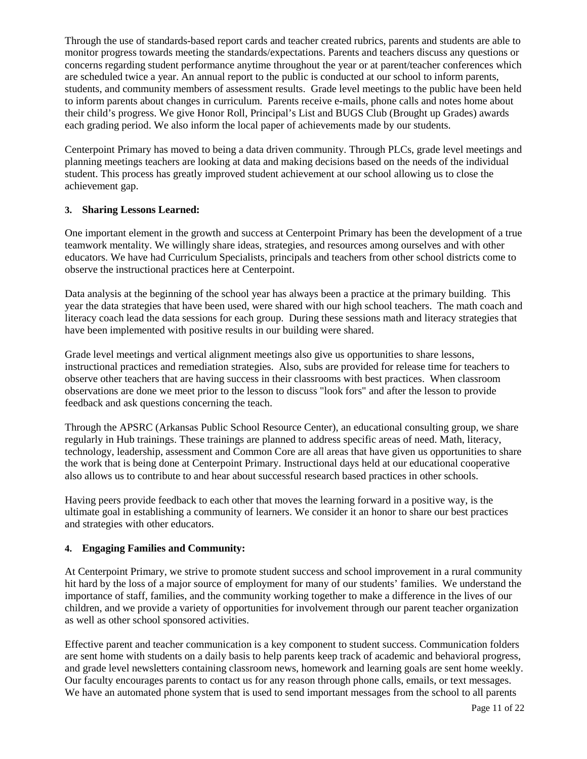Through the use of standards-based report cards and teacher created rubrics, parents and students are able to monitor progress towards meeting the standards/expectations. Parents and teachers discuss any questions or concerns regarding student performance anytime throughout the year or at parent/teacher conferences which are scheduled twice a year. An annual report to the public is conducted at our school to inform parents, students, and community members of assessment results. Grade level meetings to the public have been held to inform parents about changes in curriculum. Parents receive e-mails, phone calls and notes home about their child's progress. We give Honor Roll, Principal's List and BUGS Club (Brought up Grades) awards each grading period. We also inform the local paper of achievements made by our students.

Centerpoint Primary has moved to being a data driven community. Through PLCs, grade level meetings and planning meetings teachers are looking at data and making decisions based on the needs of the individual student. This process has greatly improved student achievement at our school allowing us to close the achievement gap.

### **3. Sharing Lessons Learned:**

One important element in the growth and success at Centerpoint Primary has been the development of a true teamwork mentality. We willingly share ideas, strategies, and resources among ourselves and with other educators. We have had Curriculum Specialists, principals and teachers from other school districts come to observe the instructional practices here at Centerpoint.

Data analysis at the beginning of the school year has always been a practice at the primary building. This year the data strategies that have been used, were shared with our high school teachers. The math coach and literacy coach lead the data sessions for each group. During these sessions math and literacy strategies that have been implemented with positive results in our building were shared.

Grade level meetings and vertical alignment meetings also give us opportunities to share lessons, instructional practices and remediation strategies. Also, subs are provided for release time for teachers to observe other teachers that are having success in their classrooms with best practices. When classroom observations are done we meet prior to the lesson to discuss "look fors" and after the lesson to provide feedback and ask questions concerning the teach.

Through the APSRC (Arkansas Public School Resource Center), an educational consulting group, we share regularly in Hub trainings. These trainings are planned to address specific areas of need. Math, literacy, technology, leadership, assessment and Common Core are all areas that have given us opportunities to share the work that is being done at Centerpoint Primary. Instructional days held at our educational cooperative also allows us to contribute to and hear about successful research based practices in other schools.

Having peers provide feedback to each other that moves the learning forward in a positive way, is the ultimate goal in establishing a community of learners. We consider it an honor to share our best practices and strategies with other educators.

# **4. Engaging Families and Community:**

At Centerpoint Primary, we strive to promote student success and school improvement in a rural community hit hard by the loss of a major source of employment for many of our students' families. We understand the importance of staff, families, and the community working together to make a difference in the lives of our children, and we provide a variety of opportunities for involvement through our parent teacher organization as well as other school sponsored activities.

Effective parent and teacher communication is a key component to student success. Communication folders are sent home with students on a daily basis to help parents keep track of academic and behavioral progress, and grade level newsletters containing classroom news, homework and learning goals are sent home weekly. Our faculty encourages parents to contact us for any reason through phone calls, emails, or text messages. We have an automated phone system that is used to send important messages from the school to all parents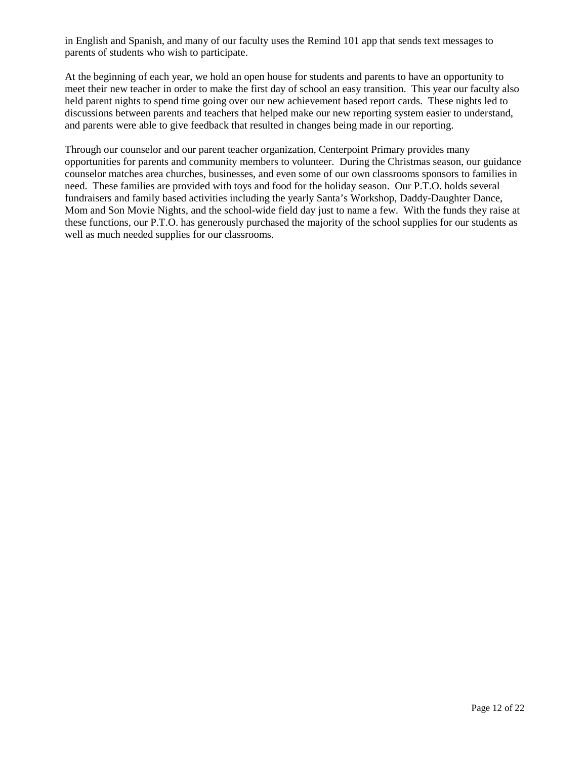in English and Spanish, and many of our faculty uses the Remind 101 app that sends text messages to parents of students who wish to participate.

At the beginning of each year, we hold an open house for students and parents to have an opportunity to meet their new teacher in order to make the first day of school an easy transition. This year our faculty also held parent nights to spend time going over our new achievement based report cards. These nights led to discussions between parents and teachers that helped make our new reporting system easier to understand, and parents were able to give feedback that resulted in changes being made in our reporting.

Through our counselor and our parent teacher organization, Centerpoint Primary provides many opportunities for parents and community members to volunteer. During the Christmas season, our guidance counselor matches area churches, businesses, and even some of our own classrooms sponsors to families in need. These families are provided with toys and food for the holiday season. Our P.T.O. holds several fundraisers and family based activities including the yearly Santa's Workshop, Daddy-Daughter Dance, Mom and Son Movie Nights, and the school-wide field day just to name a few. With the funds they raise at these functions, our P.T.O. has generously purchased the majority of the school supplies for our students as well as much needed supplies for our classrooms.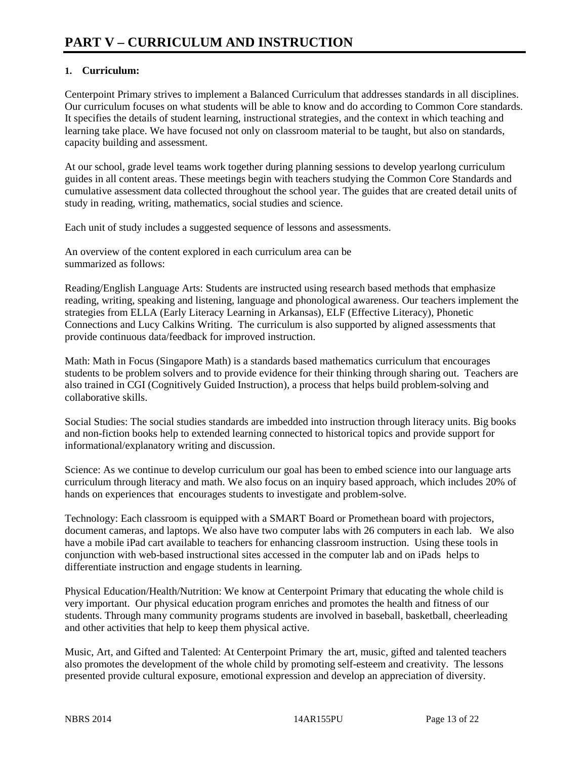# **1. Curriculum:**

Centerpoint Primary strives to implement a Balanced Curriculum that addresses standards in all disciplines. Our curriculum focuses on what students will be able to know and do according to Common Core standards. It specifies the details of student learning, instructional strategies, and the context in which teaching and learning take place. We have focused not only on classroom material to be taught, but also on standards, capacity building and assessment.

At our school, grade level teams work together during planning sessions to develop yearlong curriculum guides in all content areas. These meetings begin with teachers studying the Common Core Standards and cumulative assessment data collected throughout the school year. The guides that are created detail units of study in reading, writing, mathematics, social studies and science.

Each unit of study includes a suggested sequence of lessons and assessments.

An overview of the content explored in each curriculum area can be summarized as follows:

Reading/English Language Arts: Students are instructed using research based methods that emphasize reading, writing, speaking and listening, language and phonological awareness. Our teachers implement the strategies from ELLA (Early Literacy Learning in Arkansas), ELF (Effective Literacy), Phonetic Connections and Lucy Calkins Writing. The curriculum is also supported by aligned assessments that provide continuous data/feedback for improved instruction.

Math: Math in Focus (Singapore Math) is a standards based mathematics curriculum that encourages students to be problem solvers and to provide evidence for their thinking through sharing out. Teachers are also trained in CGI (Cognitively Guided Instruction), a process that helps build problem-solving and collaborative skills.

Social Studies: The social studies standards are imbedded into instruction through literacy units. Big books and non-fiction books help to extended learning connected to historical topics and provide support for informational/explanatory writing and discussion.

Science: As we continue to develop curriculum our goal has been to embed science into our language arts curriculum through literacy and math. We also focus on an inquiry based approach, which includes 20% of hands on experiences that encourages students to investigate and problem-solve.

Technology: Each classroom is equipped with a SMART Board or Promethean board with projectors, document cameras, and laptops. We also have two computer labs with 26 computers in each lab. We also have a mobile iPad cart available to teachers for enhancing classroom instruction. Using these tools in conjunction with web-based instructional sites accessed in the computer lab and on iPads helps to differentiate instruction and engage students in learning.

Physical Education/Health/Nutrition: We know at Centerpoint Primary that educating the whole child is very important. Our physical education program enriches and promotes the health and fitness of our students. Through many community programs students are involved in baseball, basketball, cheerleading and other activities that help to keep them physical active.

Music, Art, and Gifted and Talented: At Centerpoint Primary the art, music, gifted and talented teachers also promotes the development of the whole child by promoting self-esteem and creativity. The lessons presented provide cultural exposure, emotional expression and develop an appreciation of diversity.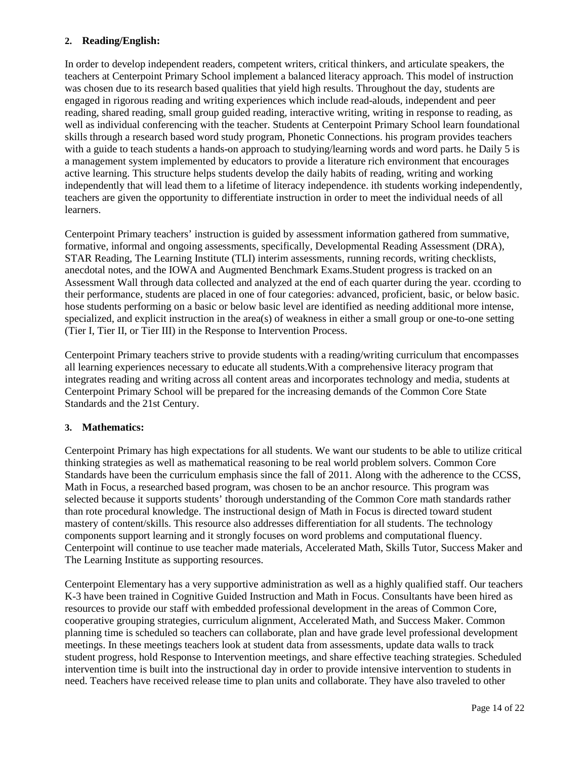## **2. Reading/English:**

In order to develop independent readers, competent writers, critical thinkers, and articulate speakers, the teachers at Centerpoint Primary School implement a balanced literacy approach. This model of instruction was chosen due to its research based qualities that yield high results. Throughout the day, students are engaged in rigorous reading and writing experiences which include read-alouds, independent and peer reading, shared reading, small group guided reading, interactive writing, writing in response to reading, as well as individual conferencing with the teacher. Students at Centerpoint Primary School learn foundational skills through a research based word study program, Phonetic Connections. his program provides teachers with a guide to teach students a hands-on approach to studying/learning words and word parts. he Daily 5 is a management system implemented by educators to provide a literature rich environment that encourages active learning. This structure helps students develop the daily habits of reading, writing and working independently that will lead them to a lifetime of literacy independence. ith students working independently, teachers are given the opportunity to differentiate instruction in order to meet the individual needs of all learners.

Centerpoint Primary teachers' instruction is guided by assessment information gathered from summative, formative, informal and ongoing assessments, specifically, Developmental Reading Assessment (DRA), STAR Reading, The Learning Institute (TLI) interim assessments, running records, writing checklists, anecdotal notes, and the IOWA and Augmented Benchmark Exams.Student progress is tracked on an Assessment Wall through data collected and analyzed at the end of each quarter during the year. ccording to their performance, students are placed in one of four categories: advanced, proficient, basic, or below basic. hose students performing on a basic or below basic level are identified as needing additional more intense, specialized, and explicit instruction in the area(s) of weakness in either a small group or one-to-one setting (Tier I, Tier II, or Tier III) in the Response to Intervention Process.

Centerpoint Primary teachers strive to provide students with a reading/writing curriculum that encompasses all learning experiences necessary to educate all students.With a comprehensive literacy program that integrates reading and writing across all content areas and incorporates technology and media, students at Centerpoint Primary School will be prepared for the increasing demands of the Common Core State Standards and the 21st Century.

### **3. Mathematics:**

Centerpoint Primary has high expectations for all students. We want our students to be able to utilize critical thinking strategies as well as mathematical reasoning to be real world problem solvers. Common Core Standards have been the curriculum emphasis since the fall of 2011. Along with the adherence to the CCSS, Math in Focus, a researched based program, was chosen to be an anchor resource. This program was selected because it supports students' thorough understanding of the Common Core math standards rather than rote procedural knowledge. The instructional design of Math in Focus is directed toward student mastery of content/skills. This resource also addresses differentiation for all students. The technology components support learning and it strongly focuses on word problems and computational fluency. Centerpoint will continue to use teacher made materials, Accelerated Math, Skills Tutor, Success Maker and The Learning Institute as supporting resources.

Centerpoint Elementary has a very supportive administration as well as a highly qualified staff. Our teachers K-3 have been trained in Cognitive Guided Instruction and Math in Focus. Consultants have been hired as resources to provide our staff with embedded professional development in the areas of Common Core, cooperative grouping strategies, curriculum alignment, Accelerated Math, and Success Maker. Common planning time is scheduled so teachers can collaborate, plan and have grade level professional development meetings. In these meetings teachers look at student data from assessments, update data walls to track student progress, hold Response to Intervention meetings, and share effective teaching strategies. Scheduled intervention time is built into the instructional day in order to provide intensive intervention to students in need. Teachers have received release time to plan units and collaborate. They have also traveled to other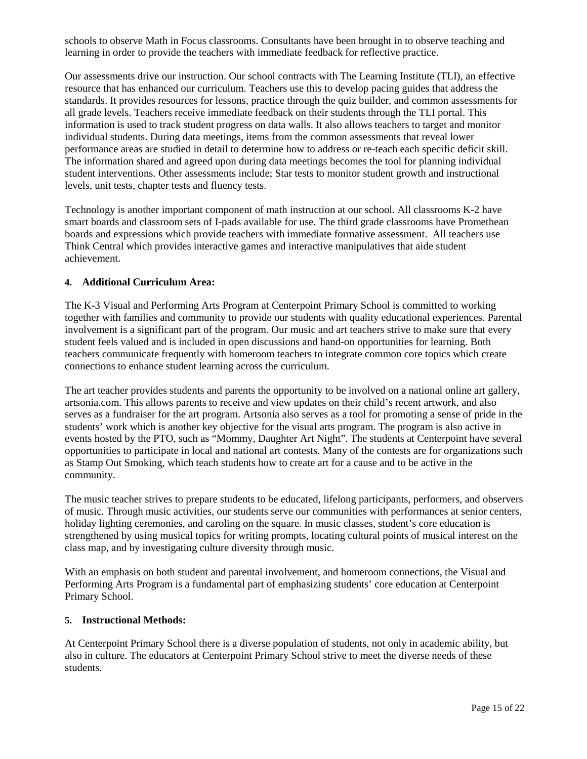schools to observe Math in Focus classrooms. Consultants have been brought in to observe teaching and learning in order to provide the teachers with immediate feedback for reflective practice.

Our assessments drive our instruction. Our school contracts with The Learning Institute (TLI), an effective resource that has enhanced our curriculum. Teachers use this to develop pacing guides that address the standards. It provides resources for lessons, practice through the quiz builder, and common assessments for all grade levels. Teachers receive immediate feedback on their students through the TLI portal. This information is used to track student progress on data walls. It also allows teachers to target and monitor individual students. During data meetings, items from the common assessments that reveal lower performance areas are studied in detail to determine how to address or re-teach each specific deficit skill. The information shared and agreed upon during data meetings becomes the tool for planning individual student interventions. Other assessments include; Star tests to monitor student growth and instructional levels, unit tests, chapter tests and fluency tests.

Technology is another important component of math instruction at our school. All classrooms K-2 have smart boards and classroom sets of I-pads available for use. The third grade classrooms have Promethean boards and expressions which provide teachers with immediate formative assessment. All teachers use Think Central which provides interactive games and interactive manipulatives that aide student achievement.

### **4. Additional Curriculum Area:**

The K-3 Visual and Performing Arts Program at Centerpoint Primary School is committed to working together with families and community to provide our students with quality educational experiences. Parental involvement is a significant part of the program. Our music and art teachers strive to make sure that every student feels valued and is included in open discussions and hand-on opportunities for learning. Both teachers communicate frequently with homeroom teachers to integrate common core topics which create connections to enhance student learning across the curriculum.

The art teacher provides students and parents the opportunity to be involved on a national online art gallery, artsonia.com. This allows parents to receive and view updates on their child's recent artwork, and also serves as a fundraiser for the art program. Artsonia also serves as a tool for promoting a sense of pride in the students' work which is another key objective for the visual arts program. The program is also active in events hosted by the PTO, such as "Mommy, Daughter Art Night". The students at Centerpoint have several opportunities to participate in local and national art contests. Many of the contests are for organizations such as Stamp Out Smoking, which teach students how to create art for a cause and to be active in the community.

The music teacher strives to prepare students to be educated, lifelong participants, performers, and observers of music. Through music activities, our students serve our communities with performances at senior centers, holiday lighting ceremonies, and caroling on the square. In music classes, student's core education is strengthened by using musical topics for writing prompts, locating cultural points of musical interest on the class map, and by investigating culture diversity through music.

With an emphasis on both student and parental involvement, and homeroom connections, the Visual and Performing Arts Program is a fundamental part of emphasizing students' core education at Centerpoint Primary School.

### **5. Instructional Methods:**

At Centerpoint Primary School there is a diverse population of students, not only in academic ability, but also in culture. The educators at Centerpoint Primary School strive to meet the diverse needs of these students.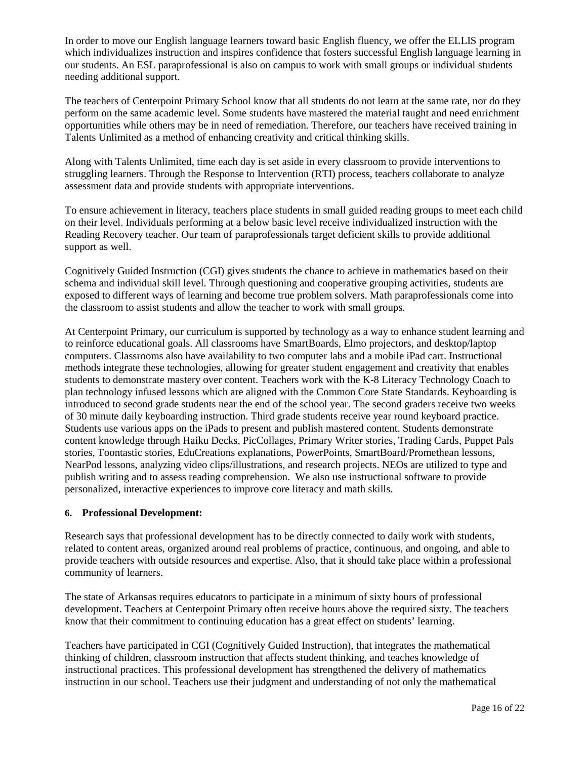In order to move our English language learners toward basic English fluency, we offer the ELLIS program which individualizes instruction and inspires confidence that fosters successful English language learning in our students. An ESL paraprofessional is also on campus to work with small groups or individual students needing additional support.

The teachers of Centerpoint Primary School know that all students do not learn at the same rate, nor do they perform on the same academic level. Some students have mastered the material taught and need enrichment opportunities while others may be in need of remediation. Therefore, our teachers have received training in Talents Unlimited as a method of enhancing creativity and critical thinking skills.

Along with Talents Unlimited, time each day is set aside in every classroom to provide interventions to struggling learners. Through the Response to Intervention (RTI) process, teachers collaborate to analyze assessment data and provide students with appropriate interventions.

To ensure achievement in literacy, teachers place students in small guided reading groups to meet each child on their level. Individuals performing at a below basic level receive individualized instruction with the Reading Recovery teacher. Our team of paraprofessionals target deficient skills to provide additional support as well.

Cognitively Guided Instruction (CGI) gives students the chance to achieve in mathematics based on their schema and individual skill level. Through questioning and cooperative grouping activities, students are exposed to different ways of learning and become true problem solvers. Math paraprofessionals come into the classroom to assist students and allow the teacher to work with small groups.

At Centerpoint Primary, our curriculum is supported by technology as a way to enhance student learning and to reinforce educational goals. All classrooms have SmartBoards, Elmo projectors, and desktop/laptop computers. Classrooms also have availability to two computer labs and a mobile iPad cart. Instructional methods integrate these technologies, allowing for greater student engagement and creativity that enables students to demonstrate mastery over content. Teachers work with the K-8 Literacy Technology Coach to plan technology infused lessons which are aligned with the Common Core State Standards. Keyboarding is introduced to second grade students near the end of the school year. The second graders receive two weeks of 30 minute daily keyboarding instruction. Third grade students receive year round keyboard practice. Students use various apps on the iPads to present and publish mastered content. Students demonstrate content knowledge through Haiku Decks, PicCollages, Primary Writer stories, Trading Cards, Puppet Pals stories, Toontastic stories, EduCreations explanations, PowerPoints, SmartBoard/Promethean lessons, NearPod lessons, analyzing video clips/illustrations, and research projects. NEOs are utilized to type and publish writing and to assess reading comprehension. We also use instructional software to provide personalized, interactive experiences to improve core literacy and math skills.

### **6. Professional Development:**

Research says that professional development has to be directly connected to daily work with students, related to content areas, organized around real problems of practice, continuous, and ongoing, and able to provide teachers with outside resources and expertise. Also, that it should take place within a professional community of learners.

The state of Arkansas requires educators to participate in a minimum of sixty hours of professional development. Teachers at Centerpoint Primary often receive hours above the required sixty. The teachers know that their commitment to continuing education has a great effect on students' learning.

Teachers have participated in CGI (Cognitively Guided Instruction), that integrates the mathematical thinking of children, classroom instruction that affects student thinking, and teaches knowledge of instructional practices. This professional development has strengthened the delivery of mathematics instruction in our school. Teachers use their judgment and understanding of not only the mathematical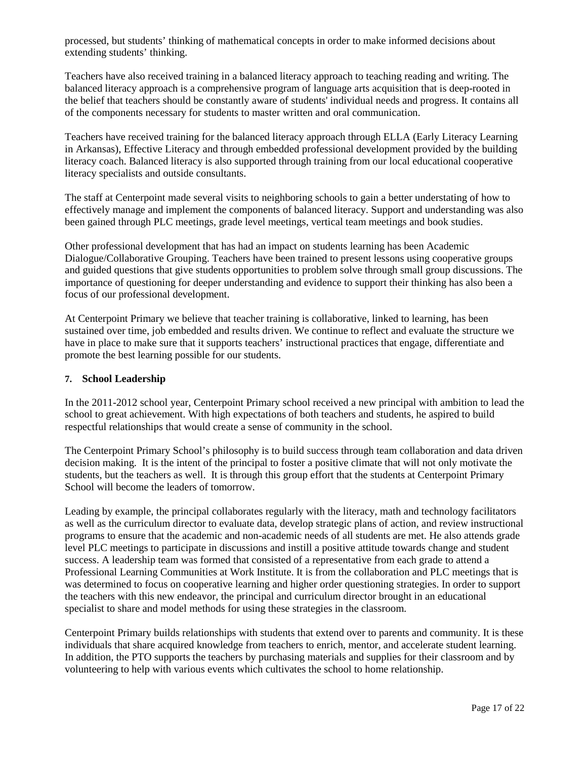processed, but students' thinking of mathematical concepts in order to make informed decisions about extending students' thinking.

Teachers have also received training in a balanced literacy approach to teaching reading and writing. The balanced literacy approach is a comprehensive program of language arts acquisition that is deep-rooted in the belief that teachers should be constantly aware of students' individual needs and progress. It contains all of the components necessary for students to master written and oral communication.

Teachers have received training for the balanced literacy approach through ELLA (Early Literacy Learning in Arkansas), Effective Literacy and through embedded professional development provided by the building literacy coach. Balanced literacy is also supported through training from our local educational cooperative literacy specialists and outside consultants.

The staff at Centerpoint made several visits to neighboring schools to gain a better understating of how to effectively manage and implement the components of balanced literacy. Support and understanding was also been gained through PLC meetings, grade level meetings, vertical team meetings and book studies.

Other professional development that has had an impact on students learning has been Academic Dialogue/Collaborative Grouping. Teachers have been trained to present lessons using cooperative groups and guided questions that give students opportunities to problem solve through small group discussions. The importance of questioning for deeper understanding and evidence to support their thinking has also been a focus of our professional development.

At Centerpoint Primary we believe that teacher training is collaborative, linked to learning, has been sustained over time, job embedded and results driven. We continue to reflect and evaluate the structure we have in place to make sure that it supports teachers' instructional practices that engage, differentiate and promote the best learning possible for our students.

### **7. School Leadership**

In the 2011-2012 school year, Centerpoint Primary school received a new principal with ambition to lead the school to great achievement. With high expectations of both teachers and students, he aspired to build respectful relationships that would create a sense of community in the school.

The Centerpoint Primary School's philosophy is to build success through team collaboration and data driven decision making. It is the intent of the principal to foster a positive climate that will not only motivate the students, but the teachers as well. It is through this group effort that the students at Centerpoint Primary School will become the leaders of tomorrow.

Leading by example, the principal collaborates regularly with the literacy, math and technology facilitators as well as the curriculum director to evaluate data, develop strategic plans of action, and review instructional programs to ensure that the academic and non-academic needs of all students are met. He also attends grade level PLC meetings to participate in discussions and instill a positive attitude towards change and student success. A leadership team was formed that consisted of a representative from each grade to attend a Professional Learning Communities at Work Institute. It is from the collaboration and PLC meetings that is was determined to focus on cooperative learning and higher order questioning strategies. In order to support the teachers with this new endeavor, the principal and curriculum director brought in an educational specialist to share and model methods for using these strategies in the classroom.

Centerpoint Primary builds relationships with students that extend over to parents and community. It is these individuals that share acquired knowledge from teachers to enrich, mentor, and accelerate student learning. In addition, the PTO supports the teachers by purchasing materials and supplies for their classroom and by volunteering to help with various events which cultivates the school to home relationship.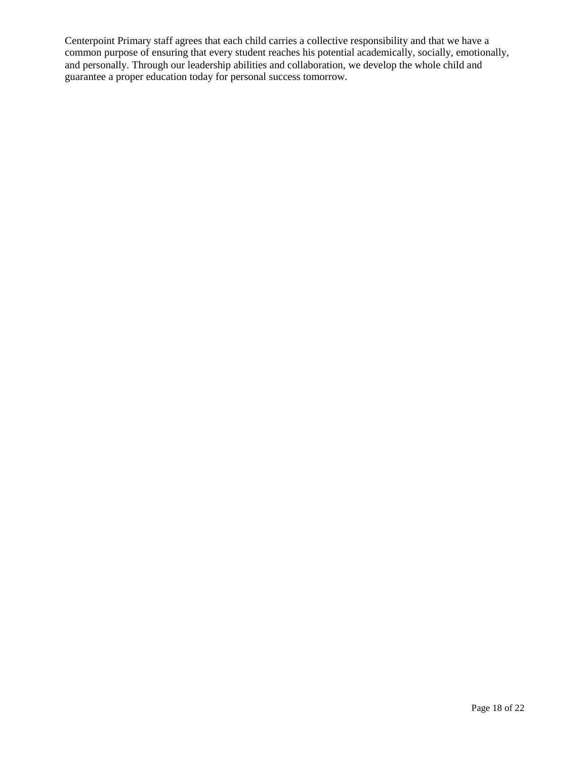Centerpoint Primary staff agrees that each child carries a collective responsibility and that we have a common purpose of ensuring that every student reaches his potential academically, socially, emotionally, and personally. Through our leadership abilities and collaboration, we develop the whole child and guarantee a proper education today for personal success tomorrow.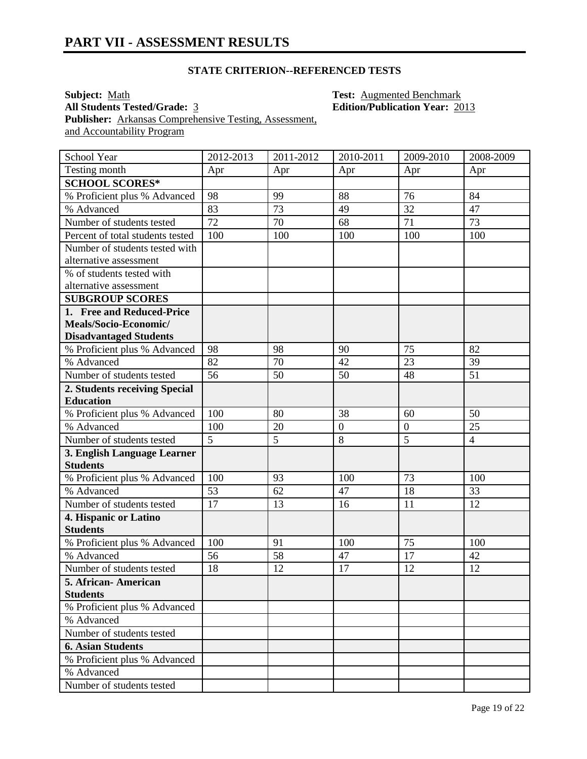# **STATE CRITERION--REFERENCED TESTS**

**Subject:** <u>Math</u> **Test:** <u>Augmented Benchmark</u><br> **All Students Tested/Grade:** 3 **Test: Edition/Publication Year:** 20 Publisher: **Arkansas Comprehensive Testing, Assessment**, and Accountability Program

**All Students Tested/Grade:** 3 **Edition/Publication Year:** 2013

| School Year                      | 2012-2013       | 2011-2012 | 2010-2011        | 2009-2010      | 2008-2009      |
|----------------------------------|-----------------|-----------|------------------|----------------|----------------|
| Testing month                    | Apr             | Apr       | Apr              | Apr            | Apr            |
| <b>SCHOOL SCORES*</b>            |                 |           |                  |                |                |
| % Proficient plus % Advanced     | 98              | 99        | 88               | 76             | 84             |
| % Advanced                       | 83              | 73        | 49               | 32             | 47             |
| Number of students tested        | 72              | 70        | 68               | 71             | 73             |
| Percent of total students tested | 100             | 100       | 100              | 100            | 100            |
| Number of students tested with   |                 |           |                  |                |                |
| alternative assessment           |                 |           |                  |                |                |
| % of students tested with        |                 |           |                  |                |                |
| alternative assessment           |                 |           |                  |                |                |
| <b>SUBGROUP SCORES</b>           |                 |           |                  |                |                |
| 1. Free and Reduced-Price        |                 |           |                  |                |                |
| Meals/Socio-Economic/            |                 |           |                  |                |                |
| <b>Disadvantaged Students</b>    |                 |           |                  |                |                |
| % Proficient plus % Advanced     | 98              | 98        | 90               | 75             | 82             |
| % Advanced                       | 82              | 70        | 42               | 23             | 39             |
| Number of students tested        | $\overline{56}$ | 50        | 50               | 48             | 51             |
| 2. Students receiving Special    |                 |           |                  |                |                |
| <b>Education</b>                 |                 |           |                  |                |                |
| % Proficient plus % Advanced     | 100             | 80        | 38               | 60             | 50             |
| % Advanced                       | 100             | 20        | $\boldsymbol{0}$ | $\overline{0}$ | 25             |
| Number of students tested        | $\overline{5}$  | 5         | 8                | 5              | $\overline{4}$ |
| 3. English Language Learner      |                 |           |                  |                |                |
| <b>Students</b>                  |                 |           |                  |                |                |
| % Proficient plus % Advanced     | 100             | 93        | 100              | 73             | 100            |
| % Advanced                       | 53              | 62        | 47               | 18             | 33             |
| Number of students tested        | 17              | 13        | 16               | 11             | 12             |
| 4. Hispanic or Latino            |                 |           |                  |                |                |
| <b>Students</b>                  |                 |           |                  |                |                |
| % Proficient plus % Advanced     | 100             | 91        | 100              | 75             | 100            |
| % Advanced                       | 56              | 58        | 47               | 17             | 42             |
| Number of students tested        | 18              | 12        | 17               | 12             | 12             |
| 5. African- American             |                 |           |                  |                |                |
| <b>Students</b>                  |                 |           |                  |                |                |
| % Proficient plus % Advanced     |                 |           |                  |                |                |
| % Advanced                       |                 |           |                  |                |                |
| Number of students tested        |                 |           |                  |                |                |
| <b>6. Asian Students</b>         |                 |           |                  |                |                |
| % Proficient plus % Advanced     |                 |           |                  |                |                |
| % Advanced                       |                 |           |                  |                |                |
| Number of students tested        |                 |           |                  |                |                |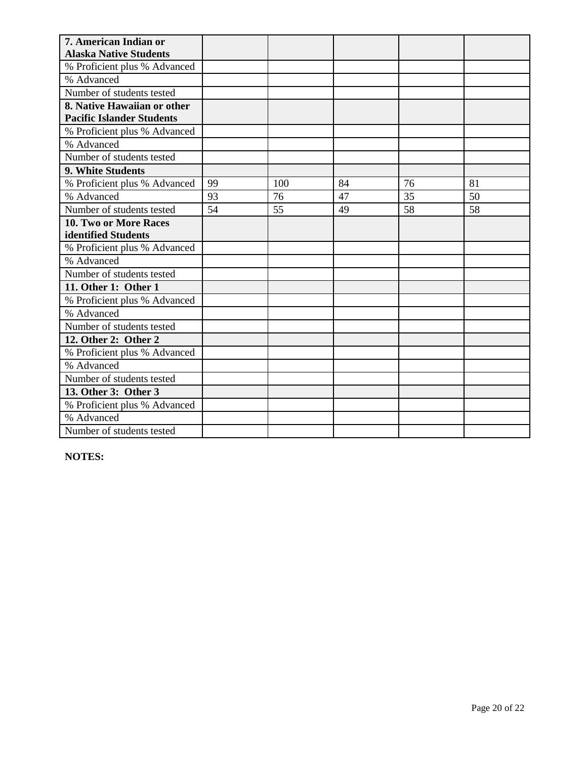| 7. American Indian or                                           |    |     |    |    |    |
|-----------------------------------------------------------------|----|-----|----|----|----|
| <b>Alaska Native Students</b>                                   |    |     |    |    |    |
| % Proficient plus % Advanced                                    |    |     |    |    |    |
| % Advanced                                                      |    |     |    |    |    |
| Number of students tested                                       |    |     |    |    |    |
| 8. Native Hawaiian or other<br><b>Pacific Islander Students</b> |    |     |    |    |    |
| % Proficient plus % Advanced                                    |    |     |    |    |    |
| % Advanced                                                      |    |     |    |    |    |
| Number of students tested                                       |    |     |    |    |    |
| 9. White Students                                               |    |     |    |    |    |
|                                                                 | 99 | 100 | 84 | 76 | 81 |
| % Proficient plus % Advanced                                    |    |     |    |    |    |
| % Advanced                                                      | 93 | 76  | 47 | 35 | 50 |
| Number of students tested                                       | 54 | 55  | 49 | 58 | 58 |
| <b>10. Two or More Races</b>                                    |    |     |    |    |    |
| identified Students                                             |    |     |    |    |    |
| % Proficient plus % Advanced                                    |    |     |    |    |    |
| % Advanced                                                      |    |     |    |    |    |
| Number of students tested                                       |    |     |    |    |    |
| 11. Other 1: Other 1                                            |    |     |    |    |    |
| % Proficient plus % Advanced                                    |    |     |    |    |    |
| % Advanced                                                      |    |     |    |    |    |
| Number of students tested                                       |    |     |    |    |    |
| 12. Other 2: Other 2                                            |    |     |    |    |    |
| % Proficient plus % Advanced                                    |    |     |    |    |    |
| % Advanced                                                      |    |     |    |    |    |
| Number of students tested                                       |    |     |    |    |    |
| 13. Other 3: Other 3                                            |    |     |    |    |    |
| % Proficient plus % Advanced                                    |    |     |    |    |    |
| % Advanced                                                      |    |     |    |    |    |
| Number of students tested                                       |    |     |    |    |    |

**NOTES:**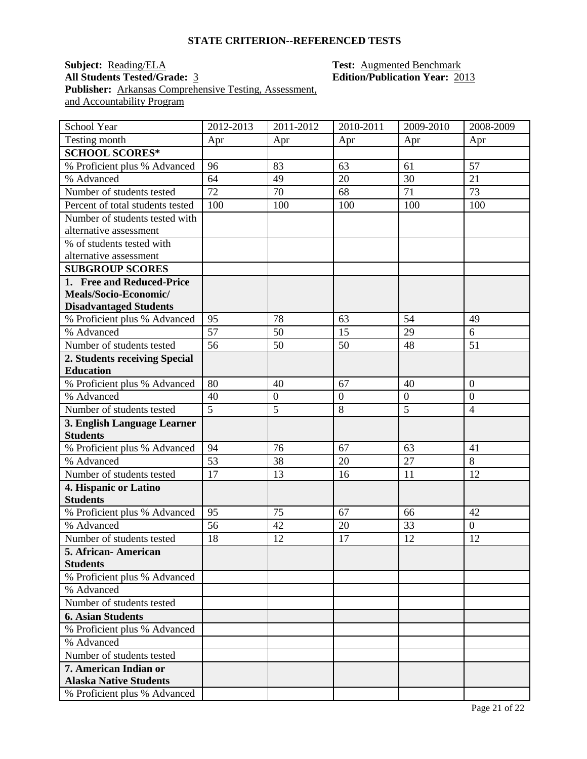#### **STATE CRITERION--REFERENCED TESTS**

# **Subject:** <u>Reading/ELA</u> **Test:** <u>Augmented Benchmark</u><br> **All Students Tested/Grade:** <u>3</u> **Test: Augmented Benchmark**<br> **Edition/Publication Year:** 20 **Publisher:** Arkansas Comprehensive Testing, Assessment, and Accountability Program

# **All Students Tested/Grade:** 3 **Edition/Publication Year:** 2013

| School Year                              | 2012-2013      | 2011-2012        | 2010-2011    | 2009-2010        | 2008-2009        |
|------------------------------------------|----------------|------------------|--------------|------------------|------------------|
| Testing month                            | Apr            | Apr              | Apr          | Apr              | Apr              |
| <b>SCHOOL SCORES*</b>                    |                |                  |              |                  |                  |
| % Proficient plus % Advanced             | 96             | 83               | 63           | 61               | 57               |
| % Advanced                               | 64             | 49               | 20           | 30               | 21               |
| Number of students tested                | 72             | 70               | 68           | 71               | 73               |
| Percent of total students tested         | 100            | 100              | 100          | 100              | 100              |
| Number of students tested with           |                |                  |              |                  |                  |
| alternative assessment                   |                |                  |              |                  |                  |
| % of students tested with                |                |                  |              |                  |                  |
| alternative assessment                   |                |                  |              |                  |                  |
| <b>SUBGROUP SCORES</b>                   |                |                  |              |                  |                  |
| 1. Free and Reduced-Price                |                |                  |              |                  |                  |
| Meals/Socio-Economic/                    |                |                  |              |                  |                  |
| <b>Disadvantaged Students</b>            |                |                  |              |                  |                  |
| % Proficient plus % Advanced             | 95             | 78               | 63           | 54               | 49               |
| % Advanced                               | 57             | 50               | 15           | 29               | 6                |
| Number of students tested                | 56             | 50               | 50           | 48               | 51               |
| 2. Students receiving Special            |                |                  |              |                  |                  |
| <b>Education</b>                         |                |                  |              |                  |                  |
| % Proficient plus % Advanced             | 80             | 40               | 67           | 40               | $\overline{0}$   |
| % Advanced                               | 40             | $\boldsymbol{0}$ | $\mathbf{0}$ | $\boldsymbol{0}$ | $\boldsymbol{0}$ |
| Number of students tested                | $\overline{5}$ | $\overline{5}$   | 8            | $\overline{5}$   | $\overline{4}$   |
| 3. English Language Learner              |                |                  |              |                  |                  |
| <b>Students</b>                          |                |                  |              |                  |                  |
| % Proficient plus % Advanced             | 94             | 76               | 67           | 63               | 41               |
| % Advanced                               | 53             | 38               | 20           | 27               | 8                |
| Number of students tested                | 17             | 13               | 16           | 11               | 12               |
| 4. Hispanic or Latino<br><b>Students</b> |                |                  |              |                  |                  |
| % Proficient plus % Advanced             | 95             | 75               | 67           | 66               | 42               |
| % Advanced                               | 56             | 42               | 20           | 33               | $\boldsymbol{0}$ |
| Number of students tested                |                |                  | 17           | 12               |                  |
|                                          | 18             | 12               |              |                  | 12               |
| 5. African- American<br><b>Students</b>  |                |                  |              |                  |                  |
| % Proficient plus % Advanced             |                |                  |              |                  |                  |
| % Advanced                               |                |                  |              |                  |                  |
| Number of students tested                |                |                  |              |                  |                  |
| <b>6. Asian Students</b>                 |                |                  |              |                  |                  |
| % Proficient plus % Advanced             |                |                  |              |                  |                  |
| % Advanced                               |                |                  |              |                  |                  |
| Number of students tested                |                |                  |              |                  |                  |
| 7. American Indian or                    |                |                  |              |                  |                  |
| <b>Alaska Native Students</b>            |                |                  |              |                  |                  |
| % Proficient plus % Advanced             |                |                  |              |                  |                  |